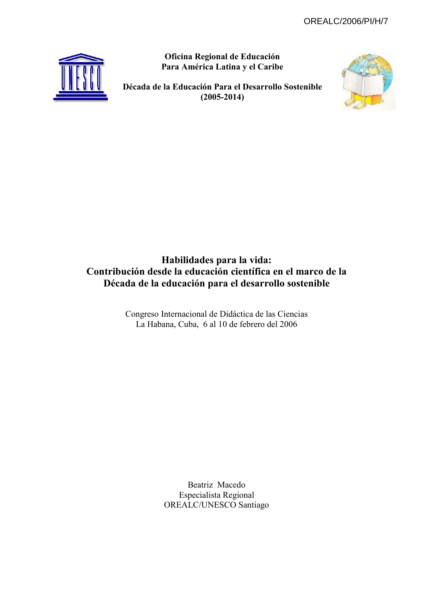Oficina Regional de Educación Para América Latina y el Caribe



Década de la Educación Para el Desarrollo Sostenible  $(2005 - 2014)$ 



## Habilidades para la vida: Contribución desde la educación científica en el marco de la Década de la educación para el desarrollo sostenible

Congreso Internacional de Didáctica de las Ciencias La Habana, Cuba, 6 al 10 de febrero del 2006

> Beatriz Macedo Especialista Regional OREALC/UNESCO Santiago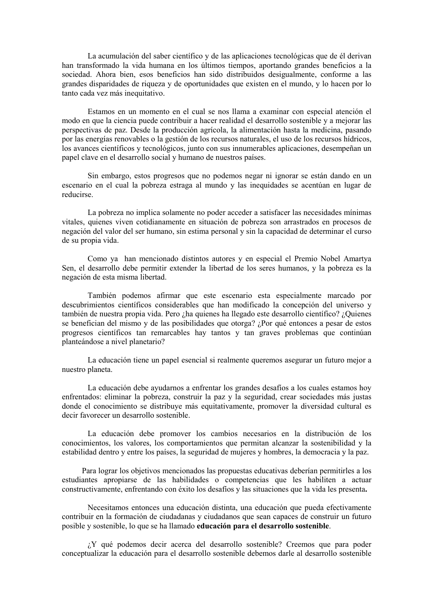La acumulación del saber científico y de las aplicaciones tecnológicas que de él derivan han transformado la vida humana en los últimos tiempos, aportando grandes beneficios a la sociedad. Ahora bien, esos beneficios han sido distribuidos desigualmente, conforme a las grandes disparidades de riqueza y de oportunidades que existen en el mundo, y lo hacen por lo tanto cada vez más inequitativo.

Estamos en un momento en el cual se nos llama a examinar con especial atención el modo en que la ciencia puede contribuir a hacer realidad el desarrollo sostenible y a mejorar las perspectivas de paz. Desde la producción agrícola, la alimentación hasta la medicina, pasando por las energías renovables o la gestión de los recursos naturales, el uso de los recursos hídricos, los avances científicos y tecnológicos, junto con sus innumerables aplicaciones, desempeñan un papel clave en el desarrollo social y humano de nuestros países.

Sin embargo, estos progresos que no podemos negar ni ignorar se están dando en un escenario en el cual la pobreza estraga al mundo y las inequidades se acentúan en lugar de reducirse.

La pobreza no implica solamente no poder acceder a satisfacer las necesidades mínimas vitales, quienes viven cotidianamente en situación de pobreza son arrastrados en procesos de negación del valor del ser humano, sin estima personal y sin la capacidad de determinar el curso de su propia vida.

Como ya han mencionado distintos autores y en especial el Premio Nobel Amartya Sen, el desarrollo debe permitir extender la libertad de los seres humanos, y la pobreza es la negación de esta misma libertad.

También podemos afirmar que este escenario esta especialmente marcado por descubrimientos científicos considerables que han modificado la concepción del universo y también de nuestra propia vida. Pero ¿ha quienes ha llegado este desarrollo científico? ¿Quienes se benefician del mismo y de las posibilidades que otorga? ¿Por qué entonces a pesar de estos progresos científicos tan remarcables hay tantos y tan graves problemas que continúan planteándose a nivel planetario?

La educación tiene un papel esencial si realmente queremos asegurar un futuro mejor a nuestro planeta.

La educación debe ayudarnos a enfrentar los grandes desafíos a los cuales estamos hoy enfrentados: eliminar la pobreza, construir la paz y la seguridad, crear sociedades más justas donde el conocimiento se distribuye más equitativamente, promover la diversidad cultural es decir favorecer un desarrollo sostenible.

La educación debe promover los cambios necesarios en la distribución de los conocimientos. los valores, los comportamientos que permitan alcanzar la sostenibilidad y la estabilidad dentro y entre los países, la seguridad de mujeres y hombres, la democracia y la paz.

Para lograr los objetivos mencionados las propuestas educativas deberían permitirles a los estudiantes apropiarse de las habilidades o competencias que les habiliten a actuar constructivamente, enfrentando con éxito los desafíos y las situaciones que la vida les presenta.

Necesitamos entonces una educación distinta, una educación que pueda efectivamente contribuir en la formación de ciudadanas y ciudadanos que sean capaces de construir un futuro posible y sostenible, lo que se ha llamado educación para el desarrollo sostenible.

¿Y qué podemos decir acerca del desarrollo sostenible? Creemos que para poder conceptualizar la educación para el desarrollo sostenible debemos darle al desarrollo sostenible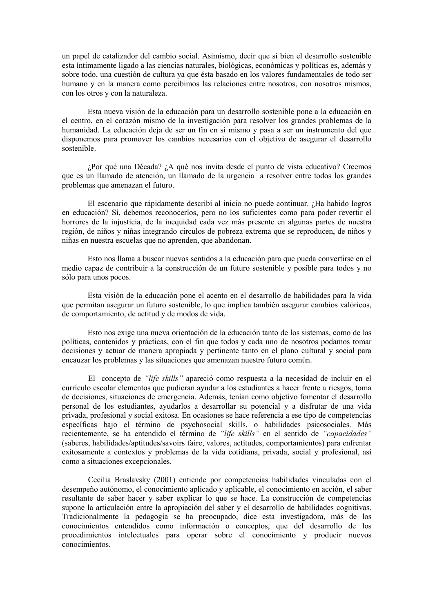un papel de catalizador del cambio social. Asimismo, decir que si bien el desarrollo sostenible esta íntimamente ligado a las ciencias naturales, biológicas, económicas y políticas es, además y sobre todo, una cuestión de cultura ya que ésta basado en los valores fundamentales de todo ser humano y en la manera como percibimos las relaciones entre nosotros, con nosotros mismos, con los otros y con la naturaleza.

Esta nueva visión de la educación para un desarrollo sostenible pone a la educación en el centro, en el corazón mismo de la investigación para resolver los grandes problemas de la humanidad. La educación deja de ser un fin en sí mismo y pasa a ser un instrumento del que disponemos para promover los cambios necesarios con el objetivo de asegurar el desarrollo sostenible

¿Por qué una Década? ¿A qué nos invita desde el punto de vista educativo? Creemos que es un llamado de atención, un llamado de la urgencia a resolver entre todos los grandes problemas que amenazan el futuro.

El escenario que rápidamente describí al inicio no puede continuar. ¿Ha habido logros en educación? Sí, debemos reconocerlos, pero no los suficientes como para poder revertir el horrores de la injusticia, de la inequidad cada vez más presente en algunas partes de nuestra región, de niños y niñas integrando círculos de pobreza extrema que se reproducen, de niños y niñas en nuestra escuelas que no aprenden, que abandonan.

Esto nos llama a buscar nuevos sentidos a la educación para que pueda convertirse en el medio capaz de contribuir a la construcción de un futuro sostenible y posible para todos y no sólo para unos pocos.

Esta visión de la educación pone el acento en el desarrollo de habilidades para la vida que permitan asegurar un futuro sostenible, lo que implica también asegurar cambios valóricos, de comportamiento, de actitud y de modos de vida.

Esto nos exige una nueva orientación de la educación tanto de los sistemas, como de las políticas, contenidos y prácticas, con el fin que todos y cada uno de nosotros podamos tomar decisiones y actuar de manera apropiada y pertinente tanto en el plano cultural y social para encauzar los problemas y las situaciones que amenazan nuestro futuro común.

El concepto de "life skills" apareció como respuesta a la necesidad de incluir en el currículo escolar elementos que pudieran avudar a los estudiantes a hacer frente a riesgos, toma de decisiones, situaciones de emergencia. Además, tenían como objetivo fomentar el desarrollo personal de los estudiantes, avudarlos a desarrollar su potencial y a disfrutar de una vida privada, profesional y social exitosa. En ocasiones se hace referencia a ese tipo de competencias específicas bajo el término de psychosocial skills, o habilidades psicosociales. Más recientemente, se ha entendido el término de "life skills" en el sentido de "capacidades" (saberes, habilidades/aptitudes/savoirs faire, valores, actitudes, comportamientos) para enfrentar exitosamente a contextos y problemas de la vida cotidiana, privada, social y profesional, así como a situaciones excepcionales.

Cecilia Braslavsky (2001) entiende por competencias habilidades vinculadas con el desempeño autónomo, el conocimiento aplicado y aplicable, el conocimiento en acción, el saber resultante de saber hacer y saber explicar lo que se hace. La construcción de competencias supone la articulación entre la apropiación del saber y el desarrollo de habilidades cognitivas. Tradicionalmente la pedagogía se ha preocupado, dice esta investigadora, más de los conocimientos entendidos como información o conceptos, que del desarrollo de los procedimientos intelectuales para operar sobre el conocimiento y producir nuevos conocimientos.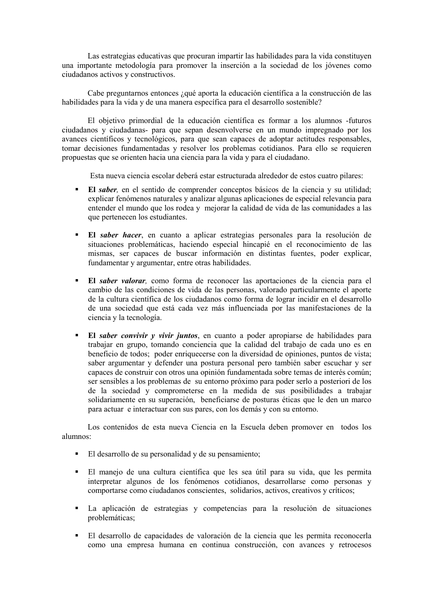Las estrategias educativas que procuran impartir las habilidades para la vida constituyen una importante metodología para promover la inserción a la sociedad de los jóvenes como ciudadanos activos y constructivos.

Cabe preguntarnos entonces ¿qué aporta la educación científica a la construcción de las habilidades para la vida y de una manera específica para el desarrollo sostenible?

El objetivo primordial de la educación científica es formar a los alumnos -futuros ciudadanos y ciudadanas- para que sepan desenvolverse en un mundo impregnado por los avances científicos y tecnológicos, para que sean capaces de adoptar actitudes responsables, tomar decisiones fundamentadas y resolver los problemas cotidianos. Para ello se requieren propuestas que se orienten hacia una ciencia para la vida y para el ciudadano.

Esta nueva ciencia escolar deberá estar estructurada alrededor de estos cuatro pilares:

- $\blacksquare$ El *saber*, en el sentido de comprender conceptos básicos de la ciencia y su utilidad; explicar fenómenos naturales y analizar algunas aplicaciones de especial relevancia para entender el mundo que los rodea y mejorar la calidad de vida de las comunidades a las que pertenecen los estudiantes.
- El saber hacer, en cuanto a aplicar estrategias personales para la resolución de situaciones problemáticas, haciendo especial hincapié en el reconocimiento de las mismas, ser capaces de buscar información en distintas fuentes, poder explicar, fundamentar y argumentar, entre otras habilidades.
- El saber valorar, como forma de reconocer las aportaciones de la ciencia para el cambio de las condiciones de vida de las personas, valorado particularmente el aporte de la cultura científica de los ciudadanos como forma de lograr incidir en el desarrollo de una sociedad que está cada vez más influenciada por las manifestaciones de la ciencia y la tecnología.
- El saber convivir y vivir juntos, en cuanto a poder apropiarse de habilidades para trabajar en grupo, tomando conciencia que la calidad del trabajo de cada uno es en beneficio de todos; poder enriquecerse con la diversidad de opiniones, puntos de vista; saber argumentar y defender una postura personal pero también saber escuchar y ser capaces de construir con otros una opinión fundamentada sobre temas de interés común; ser sensibles a los problemas de su entorno próximo para poder serlo a posteriori de los de la sociedad y comprometerse en la medida de sus posibilidades a trabajar solidariamente en su superación, beneficiarse de posturas éticas que le den un marco para actuar e interactuar con sus pares, con los demás y con su entorno.

Los contenidos de esta nueva Ciencia en la Escuela deben promover en todos los alumnos:

- El desarrollo de su personalidad y de su pensamiento;
- El manejo de una cultura científica que les sea útil para su vida, que les permita interpretar algunos de los fenómenos cotidianos, desarrollarse como personas y comportarse como ciudadanos conscientes, solidarios, activos, creativos y críticos;
- La aplicación de estrategias y competencias para la resolución de situaciones  $\blacksquare$ problemáticas:
- El desarrollo de capacidades de valoración de la ciencia que les permita reconocerla como una empresa humana en continua construcción, con avances y retrocesos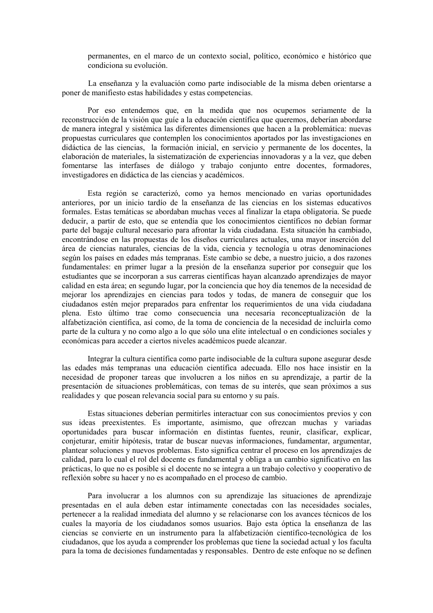permanentes, en el marco de un contexto social, político, económico e histórico que condiciona su evolución.

La enseñanza y la evaluación como parte indisociable de la misma deben orientarse a poner de manifiesto estas habilidades y estas competencias.

Por eso entendemos que, en la medida que nos ocupemos seriamente de la reconstrucción de la visión que guíe a la educación científica que queremos, deberían abordarse de manera integral y sistémica las diferentes dimensiones que hacen a la problemática: nuevas propuestas curriculares que contemplen los conocimientos aportados por las investigaciones en didáctica de las ciencias, la formación inicial, en servicio y permanente de los docentes, la elaboración de materiales, la sistematización de experiencias innovadoras y a la vez, que deben fomentarse las interfases de diálogo y trabajo conjunto entre docentes, formadores, investigadores en didáctica de las ciencias y académicos.

Esta región se caracterizó, como ya hemos mencionado en varias oportunidades anteriores, por un inicio tardío de la enseñanza de las ciencias en los sistemas educativos formales. Estas temáticas se abordaban muchas veces al finalizar la etapa obligatoria. Se puede deducir, a partir de esto, que se entendía que los conocimientos científicos no debían formar parte del bagaje cultural necesario para afrontar la vida ciudadana. Esta situación ha cambiado, encontrándose en las propuestas de los diseños curriculares actuales, una mayor inserción del área de ciencias naturales, ciencias de la vida, ciencia y tecnología u otras denominaciones según los países en edades más tempranas. Este cambio se debe, a nuestro juicio, a dos razones fundamentales: en primer lugar a la presión de la enseñanza superior por conseguir que los estudiantes que se incorporan a sus carreras científicas hayan alcanzado aprendizajes de mayor calidad en esta área; en segundo lugar, por la conciencia que hoy día tenemos de la necesidad de mejorar los aprendizajes en ciencias para todos y todas, de manera de conseguir que los ciudadanos estén mejor preparados para enfrentar los requerimientos de una vida ciudadana plena. Esto último trae como consecuencia una necesaria reconceptualización de la alfabetización científica, así como, de la toma de conciencia de la necesidad de incluirla como parte de la cultura y no como algo a lo que sólo una elite intelectual o en condiciones sociales y económicas para acceder a ciertos niveles académicos puede alcanzar.

Integrar la cultura científica como parte indisociable de la cultura supone asegurar desde las edades más tempranas una educación científica adecuada. Ello nos hace insistir en la necesidad de proponer tareas que involucren a los niños en su aprendizaje, a partir de la presentación de situaciones problemáticas, con temas de su interés, que sean próximos a sus realidades y que posean relevancia social para su entorno y su país.

Estas situaciones deberían permitirles interactuar con sus conocimientos previos y con sus ideas preexistentes. Es importante, asimismo, que ofrezcan muchas y variadas oportunidades para buscar información en distintas fuentes, reunir, clasificar, explicar, conjeturar, emitir hipótesis, tratar de buscar nuevas informaciones, fundamentar, argumentar, plantear soluciones y nuevos problemas. Esto significa centrar el proceso en los aprendizajes de calidad, para lo cual el rol del docente es fundamental y obliga a un cambio significativo en las prácticas, lo que no es posible si el docente no se integra a un trabajo colectivo y cooperativo de reflexión sobre su hacer y no es acompañado en el proceso de cambio.

Para involucrar a los alumnos con su aprendizaje las situaciones de aprendizaje presentadas en el aula deben estar íntimamente conectadas con las necesidades sociales, pertenecer a la realidad inmediata del alumno y se relacionarse con los avances técnicos de los cuales la mayoría de los ciudadanos somos usuarios. Bajo esta óptica la enseñanza de las ciencias se convierte en un instrumento para la alfabetización científico-tecnológica de los ciudadanos, que los ayuda a comprender los problemas que tiene la sociedad actual y los faculta para la toma de decisiones fundamentadas y responsables. Dentro de este enfoque no se definen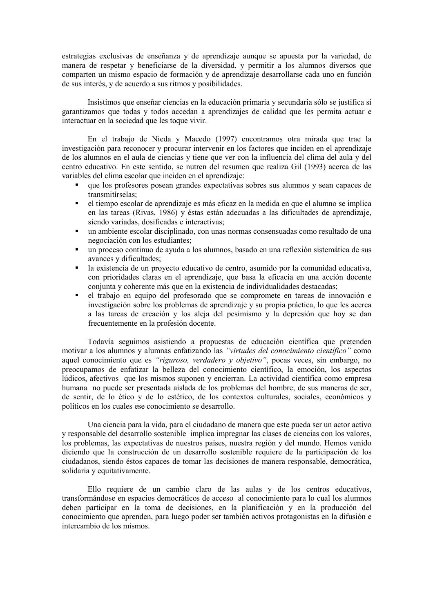estrategias exclusivas de enseñanza y de aprendizaje aunque se apuesta por la variedad, de manera de respetar y beneficiarse de la diversidad, y permitir a los alumnos diversos que comparten un mismo espacio de formación y de aprendizaje desarrollarse cada uno en función de sus interés, y de acuerdo a sus ritmos y posibilidades.

Insistimos que enseñar ciencias en la educación primaria y secundaria sólo se justifica si garantizamos que todas y todos accedan a aprendizajes de calidad que les permita actuar e interactuar en la sociedad que les toque vivir.

En el trabajo de Nieda y Macedo (1997) encontramos otra mirada que trae la investigación para reconocer y procurar intervenir en los factores que inciden en el aprendizaje de los alumnos en el aula de ciencias y tiene que ver con la influencia del clima del aula y del centro educativo. En este sentido, se nutren del resumen que realiza Gil (1993) acerca de las variables del clima escolar que inciden en el aprendizaje:

- que los profesores posean grandes expectativas sobres sus alumnos y sean capaces de transmitírselas:
- el tiempo escolar de aprendizaje es más eficaz en la medida en que el alumno se implica  $\blacksquare$ en las tareas (Rivas, 1986) y éstas están adecuadas a las dificultades de aprendizaje, siendo variadas, dosificadas e interactivas:
- un ambiente escolar disciplinado, con unas normas consensuadas como resultado de una  $\mathbf{r}$  . negociación con los estudiantes:
- un proceso continuo de ayuda a los alumnos, basado en una reflexión sistemática de sus avances y dificultades;
- la existencia de un provecto educativo de centro, asumido por la comunidad educativa, con prioridades claras en el aprendizaje, que basa la eficacia en una acción docente conjunta y coherente más que en la existencia de individualidades destacadas;
- el trabajo en equipo del profesorado que se compromete en tareas de innovación e investigación sobre los problemas de aprendizaje y su propia práctica, lo que les acerca a las tareas de creación y los aleja del pesimismo y la depresión que hoy se dan frecuentemente en la profesión docente.

Todavía seguimos asistiendo a propuestas de educación científica que pretenden motivar a los alumnos y alumnas enfatizando las "virtudes del conocimiento científico" como aquel conocimiento que es "riguroso, verdadero y objetivo", pocas veces, sin embargo, no preocupamos de enfatizar la belleza del conocimiento científico, la emoción, los aspectos lúdicos, afectivos que los mismos suponen y encierran. La actividad científica como empresa humana no puede ser presentada aislada de los problemas del hombre, de sus maneras de ser, de sentir, de lo ético y de lo estético, de los contextos culturales, sociales, económicos y políticos en los cuales ese conocimiento se desarrollo.

Una ciencia para la vida, para el ciudadano de manera que este pueda ser un actor activo y responsable del desarrollo sostenible implica impregnar las clases de ciencias con los valores, los problemas, las expectativas de nuestros países, nuestra región y del mundo. Hemos venido diciendo que la construcción de un desarrollo sostenible requiere de la participación de los ciudadanos, siendo éstos capaces de tomar las decisiones de manera responsable, democrática, solidaria y equitativamente.

Ello requiere de un cambio claro de las aulas y de los centros educativos, transformándose en espacios democráticos de acceso al conocimiento para lo cual los alumnos deben participar en la toma de decisiones, en la planificación y en la producción del conocimiento que aprenden, para luego poder ser también activos protagonistas en la difusión e intercambio de los mismos.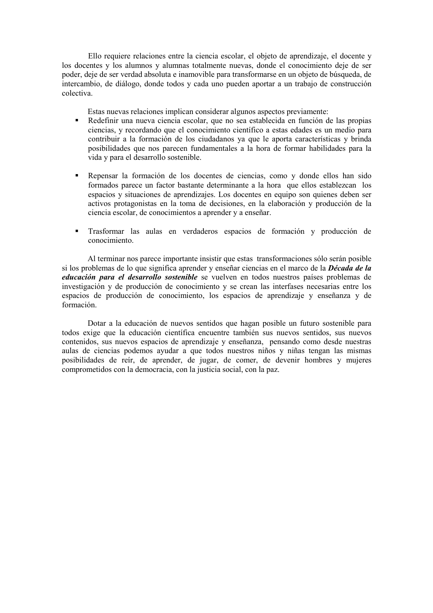Ello requiere relaciones entre la ciencia escolar, el objeto de aprendizaje, el docente y los docentes y los alumnos y alumnas totalmente nuevas, donde el conocimiento deje de ser poder, deje de ser verdad absoluta e inamovible para transformarse en un objeto de búsqueda, de intercambio, de diálogo, donde todos y cada uno pueden aportar a un trabaio de construcción colectiva

Estas nuevas relaciones implican considerar algunos aspectos previamente:

- Redefinir una nueva ciencia escolar, que no sea establecida en función de las propias ciencias, y recordando que el conocimiento científico a estas edades es un medio para contribuir a la formación de los ciudadanos ya que le aporta características y brinda posibilidades que nos parecen fundamentales a la hora de formar habilidades para la vida y para el desarrollo sostenible.
- Repensar la formación de los docentes de ciencias, como y donde ellos han sido formados parece un factor bastante determinante a la hora que ellos establezcan los espacios y situaciones de aprendizajes. Los docentes en equipo son quienes deben ser activos protagonistas en la toma de decisiones, en la elaboración y producción de la ciencia escolar, de conocimientos a aprender y a enseñar.
- Trasformar las aulas en verdaderos espacios de formación y producción de  $\blacksquare$ conocimiento

Al terminar nos parece importante insistir que estas transformaciones sólo serán posible si los problemas de lo que significa aprender y enseñar ciencias en el marco de la *Década de la* educación para el desarrollo sostenible se vuelven en todos nuestros países problemas de investigación y de producción de conocimiento y se crean las interfases necesarias entre los espacios de producción de conocimiento, los espacios de aprendizaje y enseñanza y de formación.

Dotar a la educación de nuevos sentidos que hagan posible un futuro sostenible para todos exige que la educación científica encuentre también sus nuevos sentidos, sus nuevos contenidos, sus nuevos espacios de aprendizaje y enseñanza, pensando como desde nuestras aulas de ciencias podemos ayudar a que todos nuestros niños y niñas tengan las mismas posibilidades de reír, de aprender, de jugar, de comer, de devenir hombres y mujeres comprometidos con la democracia, con la justicia social, con la paz.